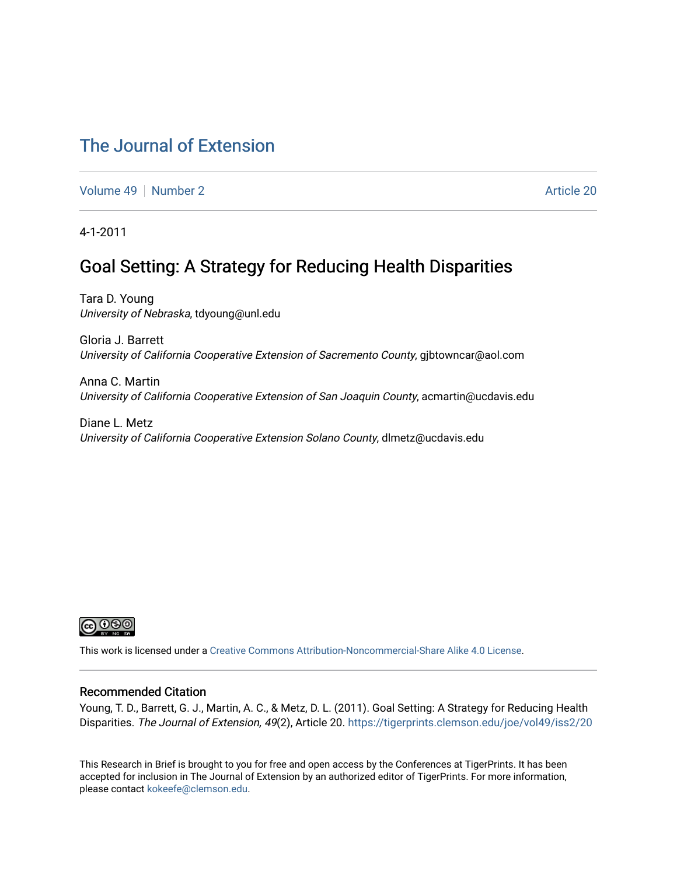### [The Journal of Extension](https://tigerprints.clemson.edu/joe)

[Volume 49](https://tigerprints.clemson.edu/joe/vol49) [Number 2](https://tigerprints.clemson.edu/joe/vol49/iss2) Article 20

4-1-2011

### Goal Setting: A Strategy for Reducing Health Disparities

Tara D. Young University of Nebraska, tdyoung@unl.edu

Gloria J. Barrett University of California Cooperative Extension of Sacremento County, gjbtowncar@aol.com

Anna C. Martin University of California Cooperative Extension of San Joaquin County, acmartin@ucdavis.edu

Diane L. Metz University of California Cooperative Extension Solano County, dlmetz@ucdavis.edu



This work is licensed under a [Creative Commons Attribution-Noncommercial-Share Alike 4.0 License.](https://creativecommons.org/licenses/by-nc-sa/4.0/)

#### Recommended Citation

Young, T. D., Barrett, G. J., Martin, A. C., & Metz, D. L. (2011). Goal Setting: A Strategy for Reducing Health Disparities. The Journal of Extension, 49(2), Article 20. <https://tigerprints.clemson.edu/joe/vol49/iss2/20>

This Research in Brief is brought to you for free and open access by the Conferences at TigerPrints. It has been accepted for inclusion in The Journal of Extension by an authorized editor of TigerPrints. For more information, please contact [kokeefe@clemson.edu](mailto:kokeefe@clemson.edu).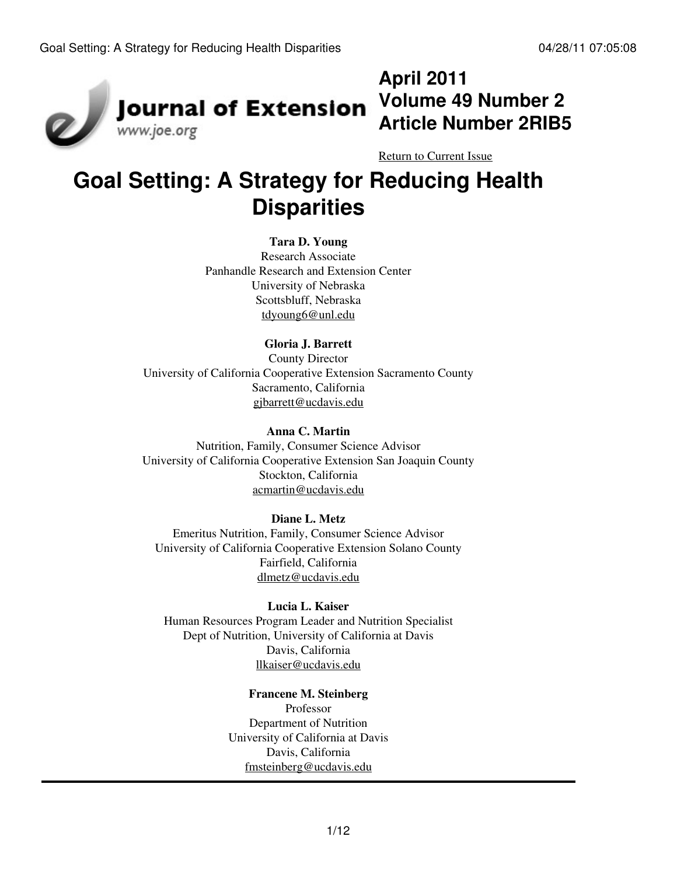

# **April 2011 Article Number 2RIB5**

[Return to Current Issue](http://www.joe.org:80/joe/2011april/)

# **Goal Setting: A Strategy for Reducing Health Disparities**

### **Tara D. Young**

Research Associate Panhandle Research and Extension Center University of Nebraska Scottsbluff, Nebraska [tdyoung6@unl.edu](mailto:tdyoung6@unl.edu)

### **Gloria J. Barrett**

County Director University of California Cooperative Extension Sacramento County Sacramento, California [gjbarrett@ucdavis.edu](mailto:gjbarrett@ucdavis.edu)

#### **Anna C. Martin**

Nutrition, Family, Consumer Science Advisor University of California Cooperative Extension San Joaquin County Stockton, California [acmartin@ucdavis.edu](mailto:acmartin@ucdavis.edu)

#### **Diane L. Metz**

Emeritus Nutrition, Family, Consumer Science Advisor University of California Cooperative Extension Solano County Fairfield, California [dlmetz@ucdavis.edu](mailto:dlmetz@ucdavis.edu)

#### **Lucia L. Kaiser**

Human Resources Program Leader and Nutrition Specialist Dept of Nutrition, University of California at Davis Davis, California [llkaiser@ucdavis.edu](mailto:llkaiser@ucdavis.edu)

### **Francene M. Steinberg**

Professor Department of Nutrition University of California at Davis Davis, California [fmsteinberg@ucdavis.edu](mailto:fmsteinberg@ucdavis.edu)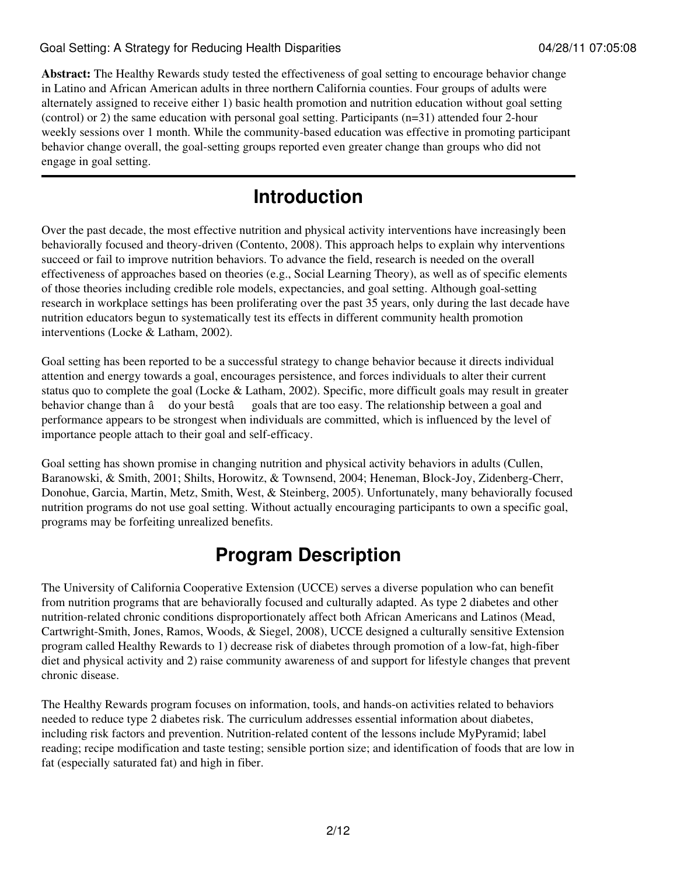**Abstract:** The Healthy Rewards study tested the effectiveness of goal setting to encourage behavior change in Latino and African American adults in three northern California counties. Four groups of adults were alternately assigned to receive either 1) basic health promotion and nutrition education without goal setting (control) or 2) the same education with personal goal setting. Participants (n=31) attended four 2-hour weekly sessions over 1 month. While the community-based education was effective in promoting participant behavior change overall, the goal-setting groups reported even greater change than groups who did not engage in goal setting.

# **Introduction**

Over the past decade, the most effective nutrition and physical activity interventions have increasingly been behaviorally focused and theory-driven (Contento, 2008). This approach helps to explain why interventions succeed or fail to improve nutrition behaviors. To advance the field, research is needed on the overall effectiveness of approaches based on theories (e.g., Social Learning Theory), as well as of specific elements of those theories including credible role models, expectancies, and goal setting. Although goal-setting research in workplace settings has been proliferating over the past 35 years, only during the last decade have nutrition educators begun to systematically test its effects in different community health promotion interventions (Locke & Latham, 2002).

Goal setting has been reported to be a successful strategy to change behavior because it directs individual attention and energy towards a goal, encourages persistence, and forces individuals to alter their current status quo to complete the goal (Locke & Latham, 2002). Specific, more difficult goals may result in greater behavior change than â do your bestâ goals that are too easy. The relationship between a goal and performance appears to be strongest when individuals are committed, which is influenced by the level of importance people attach to their goal and self-efficacy.

Goal setting has shown promise in changing nutrition and physical activity behaviors in adults (Cullen, Baranowski, & Smith, 2001; Shilts, Horowitz, & Townsend, 2004; Heneman, Block-Joy, Zidenberg-Cherr, Donohue, Garcia, Martin, Metz, Smith, West, & Steinberg, 2005). Unfortunately, many behaviorally focused nutrition programs do not use goal setting. Without actually encouraging participants to own a specific goal, programs may be forfeiting unrealized benefits.

# **Program Description**

The University of California Cooperative Extension (UCCE) serves a diverse population who can benefit from nutrition programs that are behaviorally focused and culturally adapted. As type 2 diabetes and other nutrition-related chronic conditions disproportionately affect both African Americans and Latinos (Mead, Cartwright-Smith, Jones, Ramos, Woods, & Siegel, 2008), UCCE designed a culturally sensitive Extension program called Healthy Rewards to 1) decrease risk of diabetes through promotion of a low-fat, high-fiber diet and physical activity and 2) raise community awareness of and support for lifestyle changes that prevent chronic disease.

The Healthy Rewards program focuses on information, tools, and hands-on activities related to behaviors needed to reduce type 2 diabetes risk. The curriculum addresses essential information about diabetes, including risk factors and prevention. Nutrition-related content of the lessons include MyPyramid; label reading; recipe modification and taste testing; sensible portion size; and identification of foods that are low in fat (especially saturated fat) and high in fiber.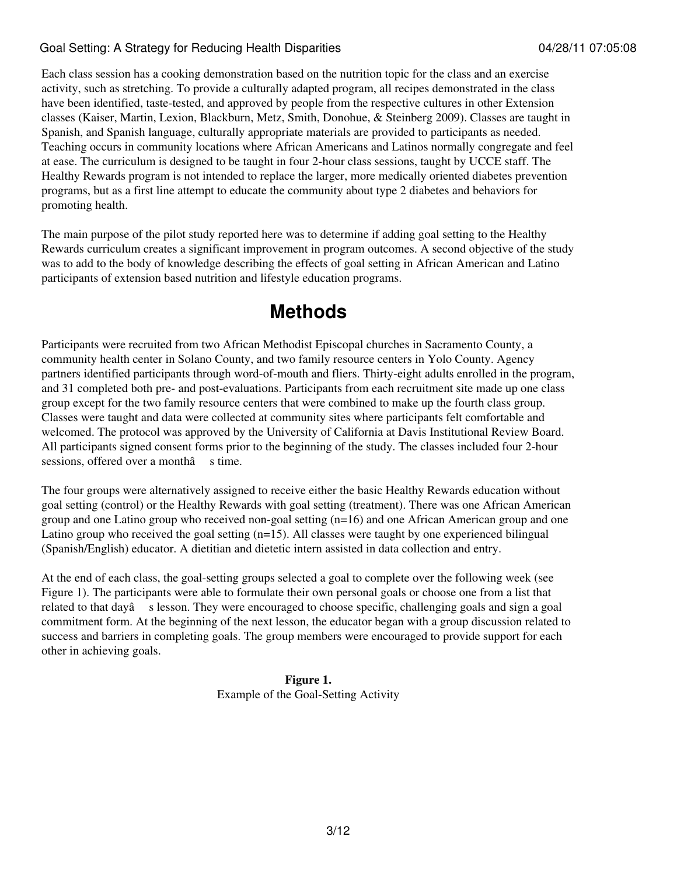Each class session has a cooking demonstration based on the nutrition topic for the class and an exercise activity, such as stretching. To provide a culturally adapted program, all recipes demonstrated in the class have been identified, taste-tested, and approved by people from the respective cultures in other Extension classes (Kaiser, Martin, Lexion, Blackburn, Metz, Smith, Donohue, & Steinberg 2009). Classes are taught in Spanish, and Spanish language, culturally appropriate materials are provided to participants as needed. Teaching occurs in community locations where African Americans and Latinos normally congregate and feel at ease. The curriculum is designed to be taught in four 2-hour class sessions, taught by UCCE staff. The Healthy Rewards program is not intended to replace the larger, more medically oriented diabetes prevention programs, but as a first line attempt to educate the community about type 2 diabetes and behaviors for promoting health.

The main purpose of the pilot study reported here was to determine if adding goal setting to the Healthy Rewards curriculum creates a significant improvement in program outcomes. A second objective of the study was to add to the body of knowledge describing the effects of goal setting in African American and Latino participants of extension based nutrition and lifestyle education programs.

# **Methods**

Participants were recruited from two African Methodist Episcopal churches in Sacramento County, a community health center in Solano County, and two family resource centers in Yolo County. Agency partners identified participants through word-of-mouth and fliers. Thirty-eight adults enrolled in the program, and 31 completed both pre- and post-evaluations. Participants from each recruitment site made up one class group except for the two family resource centers that were combined to make up the fourth class group. Classes were taught and data were collected at community sites where participants felt comfortable and welcomed. The protocol was approved by the University of California at Davis Institutional Review Board. All participants signed consent forms prior to the beginning of the study. The classes included four 2-hour sessions, offered over a monthâ s time.

The four groups were alternatively assigned to receive either the basic Healthy Rewards education without goal setting (control) or the Healthy Rewards with goal setting (treatment). There was one African American group and one Latino group who received non-goal setting (n=16) and one African American group and one Latino group who received the goal setting  $(n=15)$ . All classes were taught by one experienced bilingual (Spanish/English) educator. A dietitian and dietetic intern assisted in data collection and entry.

At the end of each class, the goal-setting groups selected a goal to complete over the following week (see Figure 1). The participants were able to formulate their own personal goals or choose one from a list that related to that dayâ s lesson. They were encouraged to choose specific, challenging goals and sign a goal commitment form. At the beginning of the next lesson, the educator began with a group discussion related to success and barriers in completing goals. The group members were encouraged to provide support for each other in achieving goals.

> **Figure 1.** Example of the Goal-Setting Activity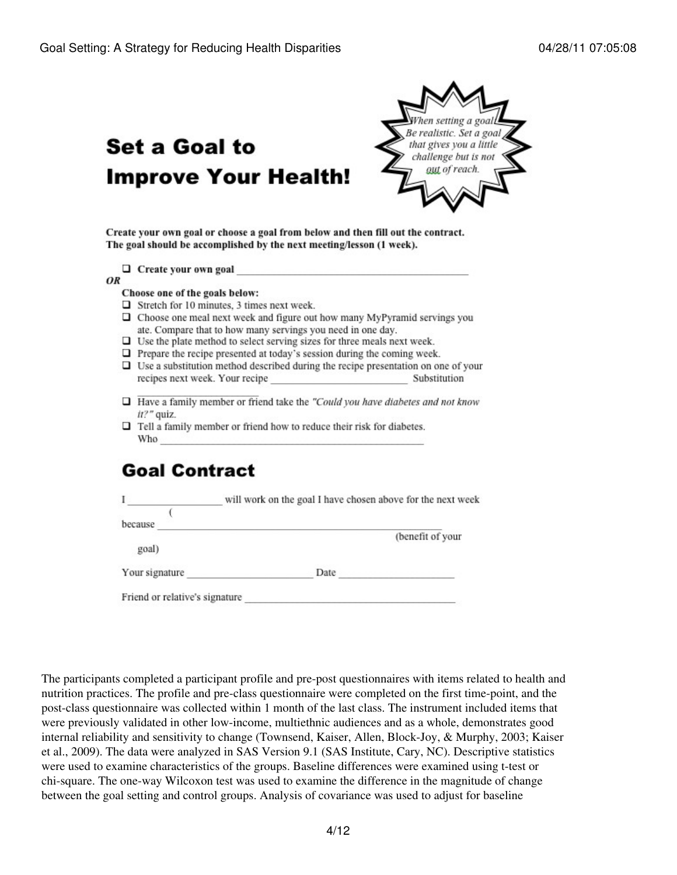# Set a Goal to **Improve Your Health!**



Create your own goal or choose a goal from below and then fill out the contract. The goal should be accomplished by the next meeting/lesson (1 week).

| Create your own goal |  |  |
|----------------------|--|--|
|                      |  |  |

OR

#### Choose one of the goals below:

- $\Box$  Stretch for 10 minutes, 3 times next week.
- $\Box$  Choose one meal next week and figure out how many MyPyramid servings you ate. Compare that to how many servings you need in one day.
- $\Box$  Use the plate method to select serving sizes for three meals next week.
- $\Box$  Prepare the recipe presented at today's session during the coming week.
- $\square$  Use a substitution method described during the recipe presentation on one of your recipes next week. Your recipe Substitution
- $\Box$  Have a family member or friend take the "Could you have diabetes and not know it?" quiz.
- $\Box$  Tell a family member or friend how to reduce their risk for diabetes. Who

# **Goal Contract**

|                                | will work on the goal I have chosen above for the next week |                  |  |  |
|--------------------------------|-------------------------------------------------------------|------------------|--|--|
|                                |                                                             |                  |  |  |
| because                        |                                                             |                  |  |  |
|                                |                                                             | (benefit of your |  |  |
| goal)                          |                                                             |                  |  |  |
| Your signature                 | Date                                                        |                  |  |  |
| Friend or relative's signature |                                                             |                  |  |  |

The participants completed a participant profile and pre-post questionnaires with items related to health and nutrition practices. The profile and pre-class questionnaire were completed on the first time-point, and the post-class questionnaire was collected within 1 month of the last class. The instrument included items that were previously validated in other low-income, multiethnic audiences and as a whole, demonstrates good internal reliability and sensitivity to change (Townsend, Kaiser, Allen, Block-Joy, & Murphy, 2003; Kaiser et al., 2009). The data were analyzed in SAS Version 9.1 (SAS Institute, Cary, NC). Descriptive statistics were used to examine characteristics of the groups. Baseline differences were examined using t-test or chi-square. The one-way Wilcoxon test was used to examine the difference in the magnitude of change between the goal setting and control groups. Analysis of covariance was used to adjust for baseline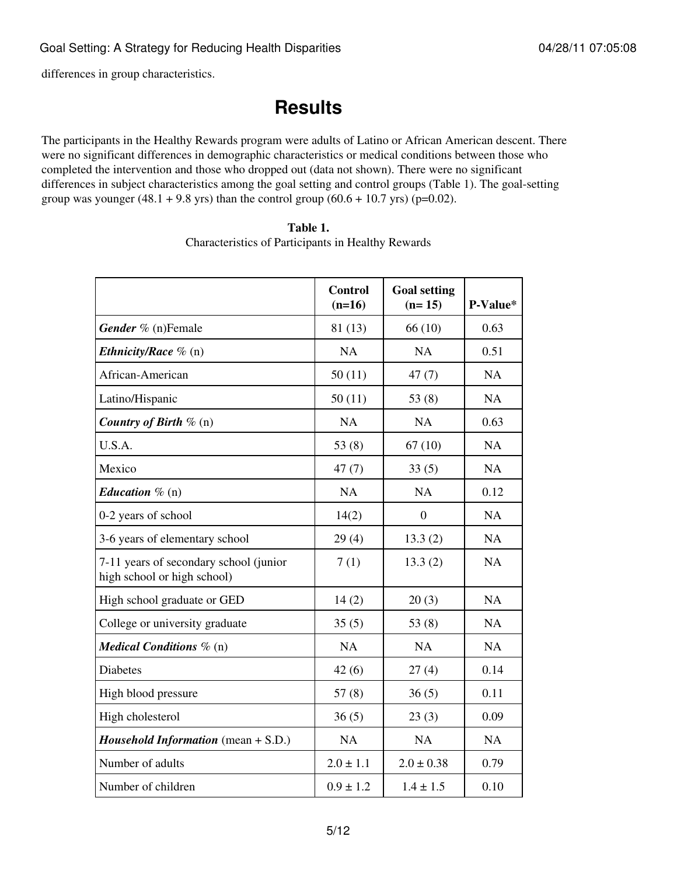differences in group characteristics.

# **Results**

The participants in the Healthy Rewards program were adults of Latino or African American descent. There were no significant differences in demographic characteristics or medical conditions between those who completed the intervention and those who dropped out (data not shown). There were no significant differences in subject characteristics among the goal setting and control groups (Table 1). The goal-setting group was younger  $(48.1 + 9.8$  yrs) than the control group  $(60.6 + 10.7$  yrs) (p=0.02).

|                                                                       | <b>Control</b><br>$(n=16)$ | <b>Goal setting</b><br>$(n=15)$ | P-Value*  |
|-----------------------------------------------------------------------|----------------------------|---------------------------------|-----------|
| Gender % (n)Female                                                    | 81 (13)                    | 66(10)                          | 0.63      |
| <i>Ethnicity/Race</i> $\%$ (n)                                        | <b>NA</b>                  | NA                              | 0.51      |
| African-American                                                      | 50(11)                     | 47(7)                           | <b>NA</b> |
| Latino/Hispanic                                                       | 50(11)                     | 53 $(8)$                        | <b>NA</b> |
| Country of Birth $\%$ (n)                                             | <b>NA</b>                  | <b>NA</b>                       | 0.63      |
| U.S.A.                                                                | 53 $(8)$                   | 67(10)                          | <b>NA</b> |
| Mexico                                                                | 47(7)                      | 33(5)                           | <b>NA</b> |
| <i>Education</i> $\%$ (n)                                             | <b>NA</b>                  | <b>NA</b>                       | 0.12      |
| 0-2 years of school                                                   | 14(2)                      | $\theta$                        | <b>NA</b> |
| 3-6 years of elementary school                                        | 29(4)                      | 13.3(2)                         | <b>NA</b> |
| 7-11 years of secondary school (junior<br>high school or high school) | 7(1)                       | 13.3(2)                         | <b>NA</b> |
| High school graduate or GED                                           | 14(2)                      | 20(3)                           | <b>NA</b> |
| College or university graduate                                        | 35(5)                      | 53 $(8)$                        | <b>NA</b> |
| <b>Medical Conditions</b> $\%$ (n)                                    | <b>NA</b>                  | NA                              | <b>NA</b> |
| <b>Diabetes</b>                                                       | 42(6)                      | 27(4)                           | 0.14      |
| High blood pressure                                                   | 57(8)                      | 36(5)                           | 0.11      |
| High cholesterol                                                      | 36(5)                      | 23(3)                           | 0.09      |
| <i>Household Information</i> (mean $+$ S.D.)                          | NA                         | NA                              | <b>NA</b> |
| Number of adults                                                      | $2.0 \pm 1.1$              | $2.0 \pm 0.38$                  | 0.79      |
|                                                                       |                            |                                 |           |

#### **Table 1.** Characteristics of Participants in Healthy Rewards

Number of children  $0.9 \pm 1.2$   $1.4 \pm 1.5$  0.10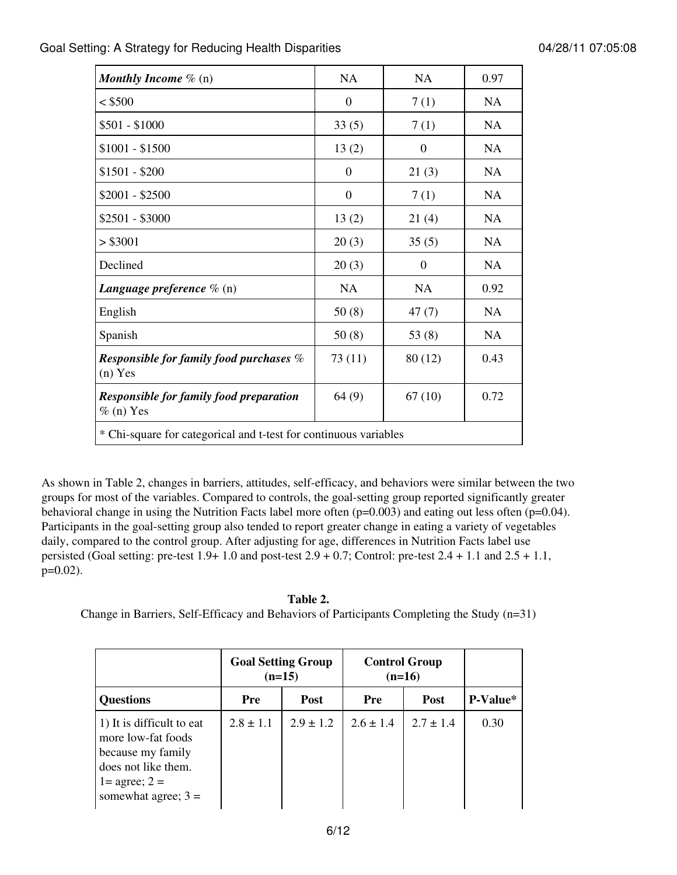| <b>Monthly Income</b> $\%$ (n)                                   | <b>NA</b>        | <b>NA</b>        | 0.97      |  |  |  |  |
|------------------------------------------------------------------|------------------|------------------|-----------|--|--|--|--|
| $<$ \$500                                                        | $\mathbf{0}$     | 7(1)             | <b>NA</b> |  |  |  |  |
| \$501 - \$1000                                                   | 33(5)            | 7(1)             | <b>NA</b> |  |  |  |  |
| $$1001 - $1500$                                                  | 13(2)            | $\mathbf{0}$     | <b>NA</b> |  |  |  |  |
| $$1501 - $200$                                                   | $\theta$         | 21(3)            | <b>NA</b> |  |  |  |  |
| $$2001 - $2500$                                                  | $\boldsymbol{0}$ | 7(1)             | <b>NA</b> |  |  |  |  |
| $$2501 - $3000$                                                  | 13(2)            | 21(4)            | <b>NA</b> |  |  |  |  |
| > \$3001                                                         | 20(3)            | 35(5)            | <b>NA</b> |  |  |  |  |
| Declined                                                         | 20(3)            | $\boldsymbol{0}$ | <b>NA</b> |  |  |  |  |
| <b>Language preference</b> $\%$ (n)                              | NA               | NA               | 0.92      |  |  |  |  |
| English                                                          | 50(8)            | 47(7)            | <b>NA</b> |  |  |  |  |
| Spanish                                                          | 50(8)            | 53 $(8)$         | <b>NA</b> |  |  |  |  |
| Responsible for family food purchases $\%$<br>$(n)$ Yes          | 73(11)           | 80 (12)          | 0.43      |  |  |  |  |
| <b>Responsible for family food preparation</b><br>$%$ (n) Yes    | 64(9)            | 67(10)           | 0.72      |  |  |  |  |
| * Chi-square for categorical and t-test for continuous variables |                  |                  |           |  |  |  |  |

As shown in Table 2, changes in barriers, attitudes, self-efficacy, and behaviors were similar between the two groups for most of the variables. Compared to controls, the goal-setting group reported significantly greater behavioral change in using the Nutrition Facts label more often (p=0.003) and eating out less often (p=0.04). Participants in the goal-setting group also tended to report greater change in eating a variety of vegetables daily, compared to the control group. After adjusting for age, differences in Nutrition Facts label use persisted (Goal setting: pre-test  $1.9+1.0$  and post-test  $2.9+0.7$ ; Control: pre-test  $2.4+1.1$  and  $2.5+1.1$ , p=0.02).

### **Table 2.**

```
Change in Barriers, Self-Efficacy and Behaviors of Participants Completing the Study (n=31)
```

|                                                                                                                                                    | <b>Goal Setting Group</b><br>$(n=15)$ |               | <b>Control Group</b><br>$(n=16)$ |               |          |
|----------------------------------------------------------------------------------------------------------------------------------------------------|---------------------------------------|---------------|----------------------------------|---------------|----------|
| <b>Questions</b>                                                                                                                                   | Pre                                   | <b>Post</b>   | Pre                              | <b>Post</b>   | P-Value* |
| 1) It is difficult to eat<br>more low-fat foods<br>because my family<br>does not like them.<br>$1 = \text{agree}$ ; $2 =$<br>somewhat agree; $3 =$ | $2.8 \pm 1.1$                         | $2.9 \pm 1.2$ | $2.6 \pm 1.4$                    | $2.7 \pm 1.4$ | 0.30     |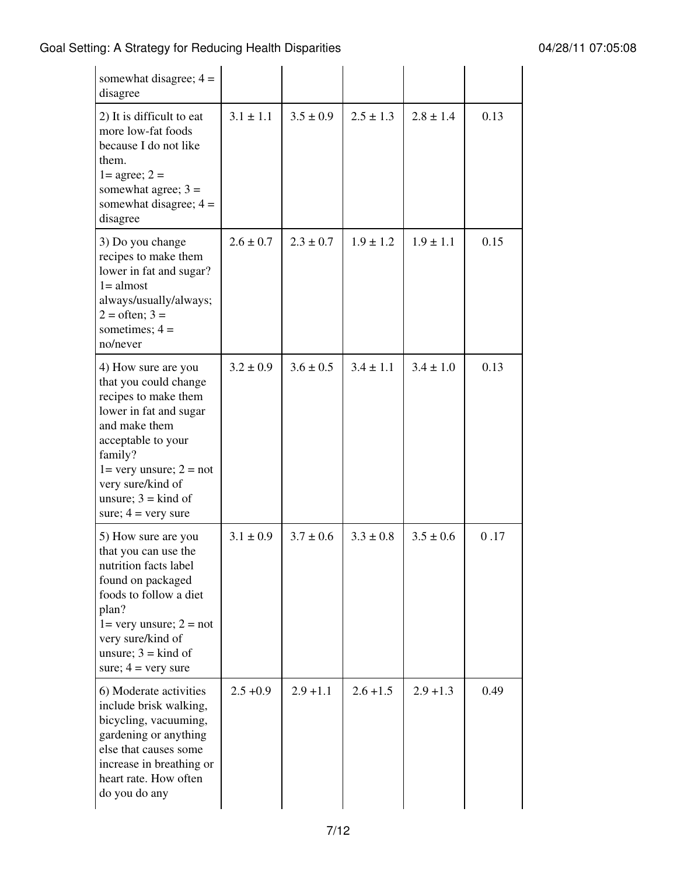| somewhat disagree; $4 =$<br>disagree                                                                                                                                                                                                                                       |               |               |               |               |      |
|----------------------------------------------------------------------------------------------------------------------------------------------------------------------------------------------------------------------------------------------------------------------------|---------------|---------------|---------------|---------------|------|
| 2) It is difficult to eat<br>more low-fat foods<br>because I do not like<br>them.<br>$1 = \text{agree}$ ; $2 =$<br>somewhat agree; $3 =$<br>somewhat disagree; $4 =$<br>disagree                                                                                           | $3.1 \pm 1.1$ | $3.5 \pm 0.9$ | $2.5 \pm 1.3$ | $2.8 \pm 1.4$ | 0.13 |
| 3) Do you change<br>recipes to make them<br>lower in fat and sugar?<br>$1 =$ almost<br>always/usually/always;<br>$2 = \text{often}; 3 =$<br>sometimes; $4 =$<br>no/never                                                                                                   | $2.6 \pm 0.7$ | $2.3 \pm 0.7$ | $1.9 \pm 1.2$ | $1.9 \pm 1.1$ | 0.15 |
| 4) How sure are you<br>that you could change<br>recipes to make them<br>lower in fat and sugar<br>and make them<br>acceptable to your<br>family?<br>$1 = \text{very unsure}; 2 = \text{not}$<br>very sure/kind of<br>unsure; $3 =$ kind of<br>sure; $4 = \text{very sure}$ | $3.2 \pm 0.9$ | $3.6 \pm 0.5$ | $3.4 \pm 1.1$ | $3.4 \pm 1.0$ | 0.13 |
| 5) How sure are you<br>that you can use the<br>nutrition facts label<br>found on packaged<br>foods to follow a diet<br>plan?<br>$1 =$ very unsure; $2 =$ not<br>very sure/kind of<br>unsure; $3 =$ kind of<br>sure; $4 = \text{very sure}$                                 | $3.1 \pm 0.9$ | $3.7 \pm 0.6$ | $3.3 \pm 0.8$ | $3.5 \pm 0.6$ | 0.17 |
| 6) Moderate activities<br>include brisk walking,<br>bicycling, vacuuming,<br>gardening or anything<br>else that causes some<br>increase in breathing or<br>heart rate. How often<br>do you do any                                                                          | $2.5 + 0.9$   | $2.9 + 1.1$   | $2.6 + 1.5$   | $2.9 + 1.3$   | 0.49 |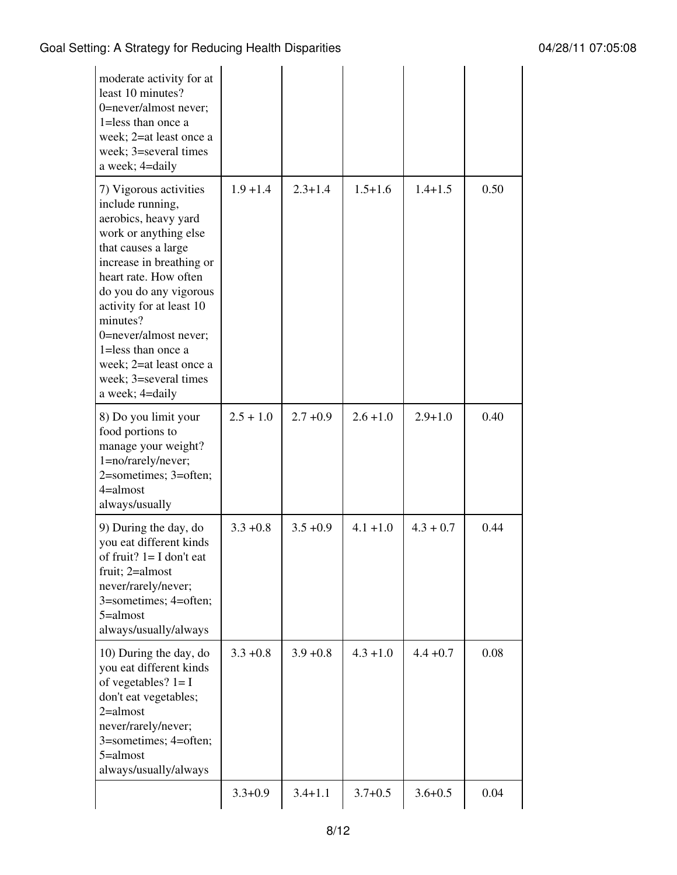| moderate activity for at<br>least 10 minutes?<br>0=never/almost never;<br>1=less than once a<br>week; 2=at least once a<br>week; 3=several times<br>a week; 4=daily                                                                                                                                                                                                 |             |             |             |             |      |
|---------------------------------------------------------------------------------------------------------------------------------------------------------------------------------------------------------------------------------------------------------------------------------------------------------------------------------------------------------------------|-------------|-------------|-------------|-------------|------|
| 7) Vigorous activities<br>include running,<br>aerobics, heavy yard<br>work or anything else<br>that causes a large<br>increase in breathing or<br>heart rate. How often<br>do you do any vigorous<br>activity for at least 10<br>minutes?<br>0=never/almost never;<br>$1 =$ less than once a<br>week; 2=at least once a<br>week; 3=several times<br>a week; 4=daily | $1.9 + 1.4$ | $2.3 + 1.4$ | $1.5 + 1.6$ | $1.4 + 1.5$ | 0.50 |
| 8) Do you limit your<br>food portions to<br>manage your weight?<br>1=no/rarely/never;<br>2=sometimes; 3=often;<br>$4 =$ almost<br>always/usually                                                                                                                                                                                                                    | $2.5 + 1.0$ | $2.7 + 0.9$ | $2.6 + 1.0$ | $2.9 + 1.0$ | 0.40 |
| 9) During the day, do<br>you eat different kinds<br>of fruit? $l = I$ don't eat<br>fruit; 2=almost<br>never/rarely/never;<br>3=sometimes; 4=often;<br>$5 =$ almost<br>always/usually/always                                                                                                                                                                         | $3.3 + 0.8$ | $3.5 + 0.9$ | $4.1 + 1.0$ | $4.3 + 0.7$ | 0.44 |
| 10) During the day, do<br>you eat different kinds<br>of vegetables? $1 = I$<br>don't eat vegetables;<br>$2 =$ almost<br>never/rarely/never;<br>3=sometimes; 4=often;<br>$5 =$ almost<br>always/usually/always                                                                                                                                                       | $3.3 + 0.8$ | $3.9 + 0.8$ | $4.3 + 1.0$ | $4.4 + 0.7$ | 0.08 |
|                                                                                                                                                                                                                                                                                                                                                                     | $3.3 + 0.9$ | $3.4 + 1.1$ | $3.7 + 0.5$ | $3.6 + 0.5$ | 0.04 |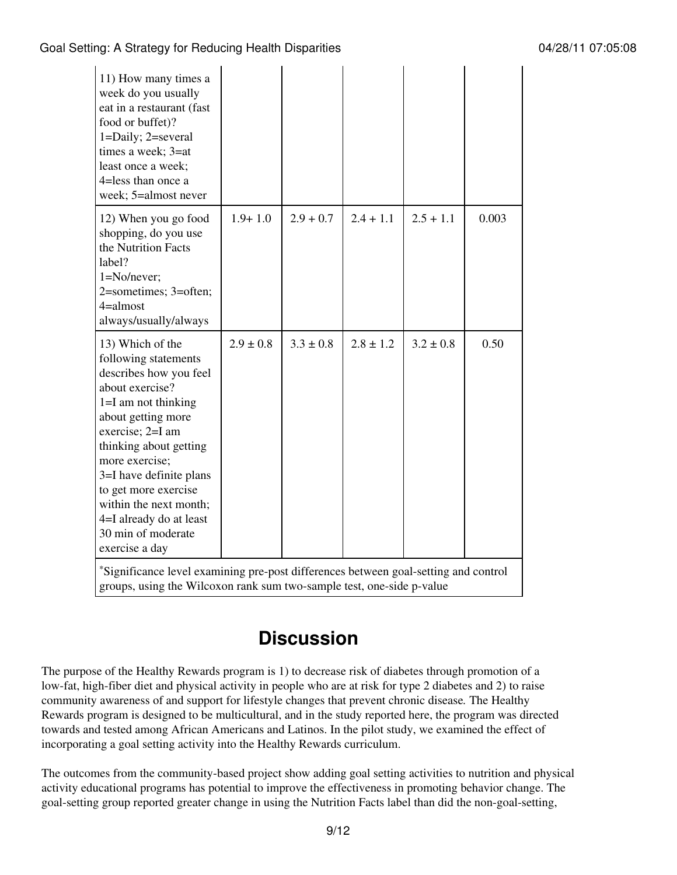| 11) How many times a<br>week do you usually<br>eat in a restaurant (fast<br>food or buffet)?<br>1=Daily; 2=several<br>times a week; 3=at<br>least once a week;<br>4=less than once a<br>week; 5=almost never                                                                                                                                         |               |               |               |               |       |
|------------------------------------------------------------------------------------------------------------------------------------------------------------------------------------------------------------------------------------------------------------------------------------------------------------------------------------------------------|---------------|---------------|---------------|---------------|-------|
| 12) When you go food<br>shopping, do you use<br>the Nutrition Facts<br>label?<br>$1 = No/never;$<br>2=sometimes; 3=often;<br>$4 =$ almost<br>always/usually/always                                                                                                                                                                                   | $1.9 + 1.0$   | $2.9 + 0.7$   | $2.4 + 1.1$   | $2.5 + 1.1$   | 0.003 |
| 13) Which of the<br>following statements<br>describes how you feel<br>about exercise?<br>$1=I$ am not thinking<br>about getting more<br>exercise; 2=I am<br>thinking about getting<br>more exercise;<br>3=I have definite plans<br>to get more exercise<br>within the next month;<br>4=I already do at least<br>30 min of moderate<br>exercise a day | $2.9 \pm 0.8$ | $3.3 \pm 0.8$ | $2.8 \pm 1.2$ | $3.2 \pm 0.8$ | 0.50  |
| *Significance level examining pre-post differences between goal-setting and control<br>groups, using the Wilcoxon rank sum two-sample test, one-side p-value                                                                                                                                                                                         |               |               |               |               |       |

# **Discussion**

The purpose of the Healthy Rewards program is 1) to decrease risk of diabetes through promotion of a low-fat, high-fiber diet and physical activity in people who are at risk for type 2 diabetes and 2) to raise community awareness of and support for lifestyle changes that prevent chronic disease*.* The Healthy Rewards program is designed to be multicultural, and in the study reported here, the program was directed towards and tested among African Americans and Latinos. In the pilot study, we examined the effect of incorporating a goal setting activity into the Healthy Rewards curriculum.

The outcomes from the community-based project show adding goal setting activities to nutrition and physical activity educational programs has potential to improve the effectiveness in promoting behavior change. The goal-setting group reported greater change in using the Nutrition Facts label than did the non-goal-setting,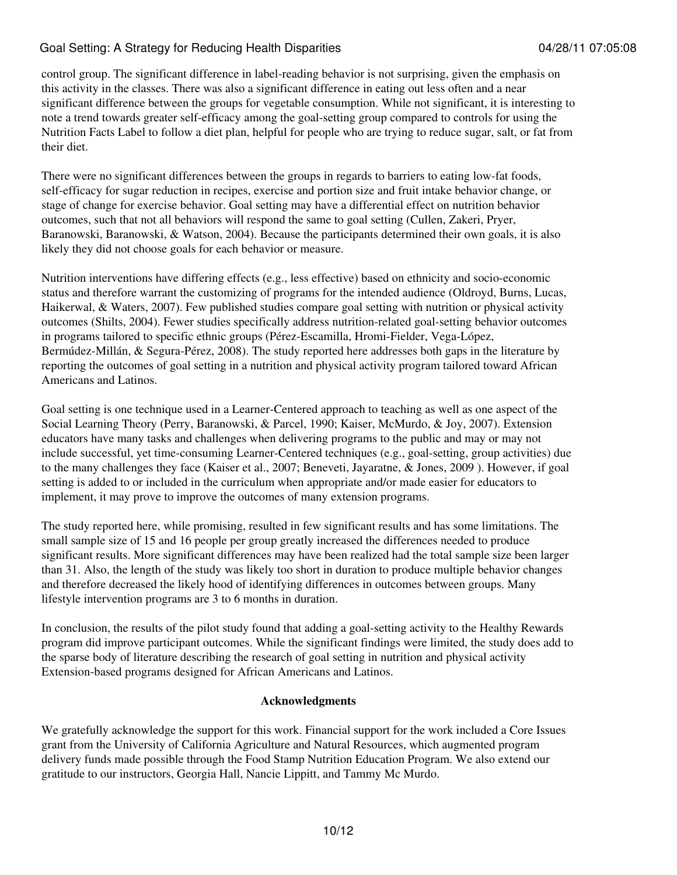control group. The significant difference in label-reading behavior is not surprising, given the emphasis on this activity in the classes. There was also a significant difference in eating out less often and a near significant difference between the groups for vegetable consumption. While not significant, it is interesting to note a trend towards greater self-efficacy among the goal-setting group compared to controls for using the Nutrition Facts Label to follow a diet plan, helpful for people who are trying to reduce sugar, salt, or fat from their diet.

There were no significant differences between the groups in regards to barriers to eating low-fat foods, self-efficacy for sugar reduction in recipes, exercise and portion size and fruit intake behavior change, or stage of change for exercise behavior. Goal setting may have a differential effect on nutrition behavior outcomes, such that not all behaviors will respond the same to goal setting (Cullen, Zakeri, Pryer, Baranowski, Baranowski, & Watson, 2004). Because the participants determined their own goals, it is also likely they did not choose goals for each behavior or measure.

Nutrition interventions have differing effects (e.g., less effective) based on ethnicity and socio-economic status and therefore warrant the customizing of programs for the intended audience (Oldroyd, Burns, Lucas, Haikerwal, & Waters, 2007). Few published studies compare goal setting with nutrition or physical activity outcomes (Shilts, 2004). Fewer studies specifically address nutrition-related goal-setting behavior outcomes in programs tailored to specific ethnic groups (Pérez-Escamilla, Hromi-Fielder, Vega-López, Bermúdez-Millán, & Segura-Pérez, 2008). The study reported here addresses both gaps in the literature by reporting the outcomes of goal setting in a nutrition and physical activity program tailored toward African Americans and Latinos.

Goal setting is one technique used in a Learner-Centered approach to teaching as well as one aspect of the Social Learning Theory (Perry, Baranowski, & Parcel, 1990; Kaiser, McMurdo, & Joy, 2007). Extension educators have many tasks and challenges when delivering programs to the public and may or may not include successful, yet time-consuming Learner-Centered techniques (e.g., goal-setting, group activities) due to the many challenges they face (Kaiser et al., 2007; Beneveti, Jayaratne, & Jones, 2009 ). However, if goal setting is added to or included in the curriculum when appropriate and/or made easier for educators to implement, it may prove to improve the outcomes of many extension programs.

The study reported here, while promising, resulted in few significant results and has some limitations. The small sample size of 15 and 16 people per group greatly increased the differences needed to produce significant results. More significant differences may have been realized had the total sample size been larger than 31. Also, the length of the study was likely too short in duration to produce multiple behavior changes and therefore decreased the likely hood of identifying differences in outcomes between groups. Many lifestyle intervention programs are 3 to 6 months in duration.

In conclusion, the results of the pilot study found that adding a goal-setting activity to the Healthy Rewards program did improve participant outcomes. While the significant findings were limited, the study does add to the sparse body of literature describing the research of goal setting in nutrition and physical activity Extension-based programs designed for African Americans and Latinos.

#### **Acknowledgments**

We gratefully acknowledge the support for this work. Financial support for the work included a Core Issues grant from the University of California Agriculture and Natural Resources, which augmented program delivery funds made possible through the Food Stamp Nutrition Education Program. We also extend our gratitude to our instructors, Georgia Hall, Nancie Lippitt, and Tammy Mc Murdo.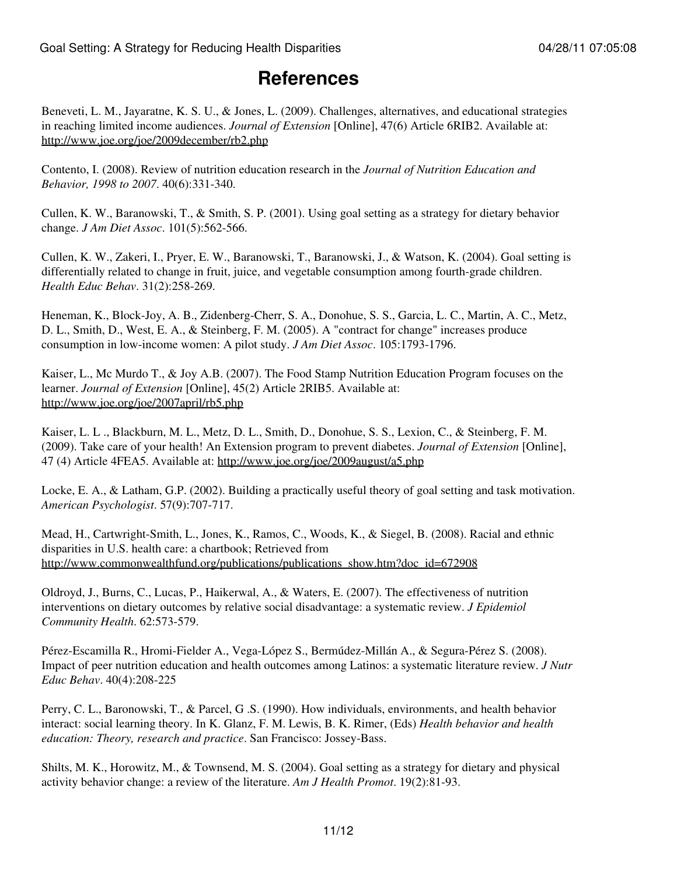### **References**

Beneveti, L. M., Jayaratne, K. S. U., & Jones, L. (2009). Challenges, alternatives, and educational strategies in reaching limited income audiences. *Journal of Extension* [Online], 47(6) Article 6RIB2. Available at: <http://www.joe.org/joe/2009december/rb2.php>

Contento, I. (2008). Review of nutrition education research in the *Journal of Nutrition Education and Behavior, 1998 to 2007*. 40(6):331-340.

Cullen, K. W., Baranowski, T., & Smith, S. P. (2001). Using goal setting as a strategy for dietary behavior change. *J Am Diet Assoc*. 101(5):562-566.

Cullen, K. W., Zakeri, I., Pryer, E. W., Baranowski, T., Baranowski, J., & Watson, K. (2004). Goal setting is differentially related to change in fruit, juice, and vegetable consumption among fourth-grade children. *Health Educ Behav*. 31(2):258-269.

Heneman, K., Block-Joy, A. B., Zidenberg-Cherr, S. A., Donohue, S. S., Garcia, L. C., Martin, A. C., Metz, D. L., Smith, D., West, E. A., & Steinberg, F. M. (2005). A "contract for change" increases produce consumption in low-income women: A pilot study. *J Am Diet Assoc*. 105:1793-1796.

Kaiser, L., Mc Murdo T., & Joy A.B. (2007). The Food Stamp Nutrition Education Program focuses on the learner. *Journal of Extension* [Online], 45(2) Article 2RIB5. Available at: <http://www.joe.org/joe/2007april/rb5.php>

Kaiser, L. L ., Blackburn, M. L., Metz, D. L., Smith, D., Donohue, S. S., Lexion, C., & Steinberg, F. M. (2009). Take care of your health! An Extension program to prevent diabetes. *Journal of Extension* [Online], 47 (4) Article 4FEA5. Available at: <http://www.joe.org/joe/2009august/a5.php>

Locke, E. A., & Latham, G.P. (2002). Building a practically useful theory of goal setting and task motivation. *American Psychologist*. 57(9):707-717.

Mead, H., Cartwright-Smith, L., Jones, K., Ramos, C., Woods, K., & Siegel, B. (2008). Racial and ethnic disparities in U.S. health care: a chartbook; Retrieved from [http://www.commonwealthfund.org/publications/publications\\_show.htm?doc\\_id=672908](http://www.commonwealthfund.org/publications/publications_show.htm?doc_id=672908)

Oldroyd, J., Burns, C., Lucas, P., Haikerwal, A., & Waters, E. (2007). The effectiveness of nutrition interventions on dietary outcomes by relative social disadvantage: a systematic review. *J Epidemiol Community Health*. 62:573-579.

Pérez-Escamilla R., Hromi-Fielder A., Vega-López S., Bermúdez-Millán A., & Segura-Pérez S. (2008). Impact of peer nutrition education and health outcomes among Latinos: a systematic literature review. *J Nutr Educ Behav*. 40(4):208-225

Perry, C. L., Baronowski, T., & Parcel, G .S. (1990). How individuals, environments, and health behavior interact: social learning theory. In K. Glanz, F. M. Lewis, B. K. Rimer, (Eds) *Health behavior and health education: Theory, research and practice*. San Francisco: Jossey-Bass.

Shilts, M. K., Horowitz, M., & Townsend, M. S. (2004). Goal setting as a strategy for dietary and physical activity behavior change: a review of the literature. *Am J Health Promot*. 19(2):81-93.